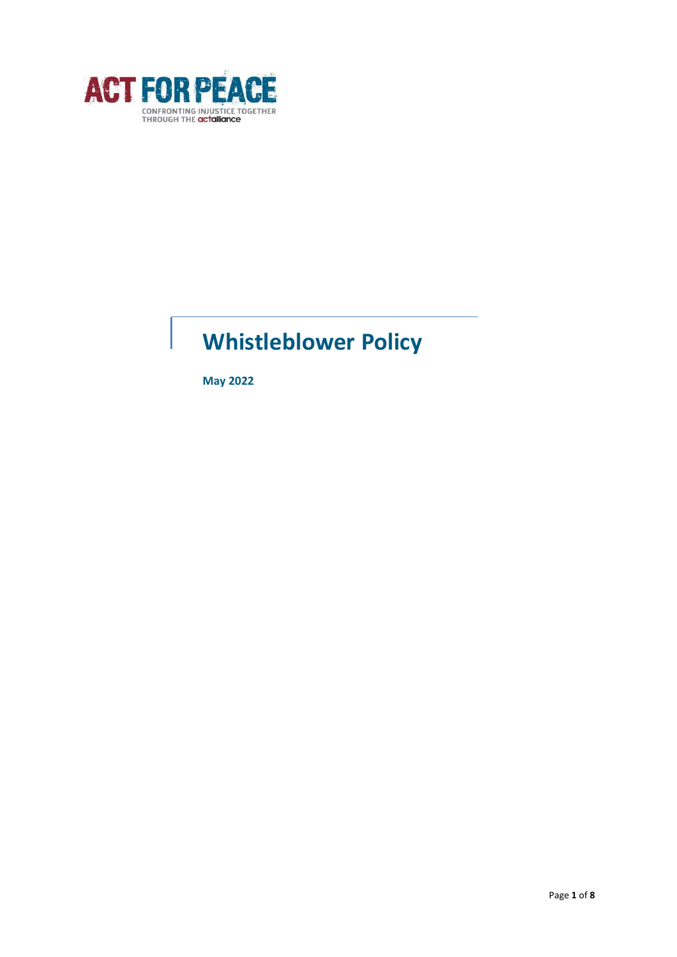

# **Whistleblower Policy**

**May 2022**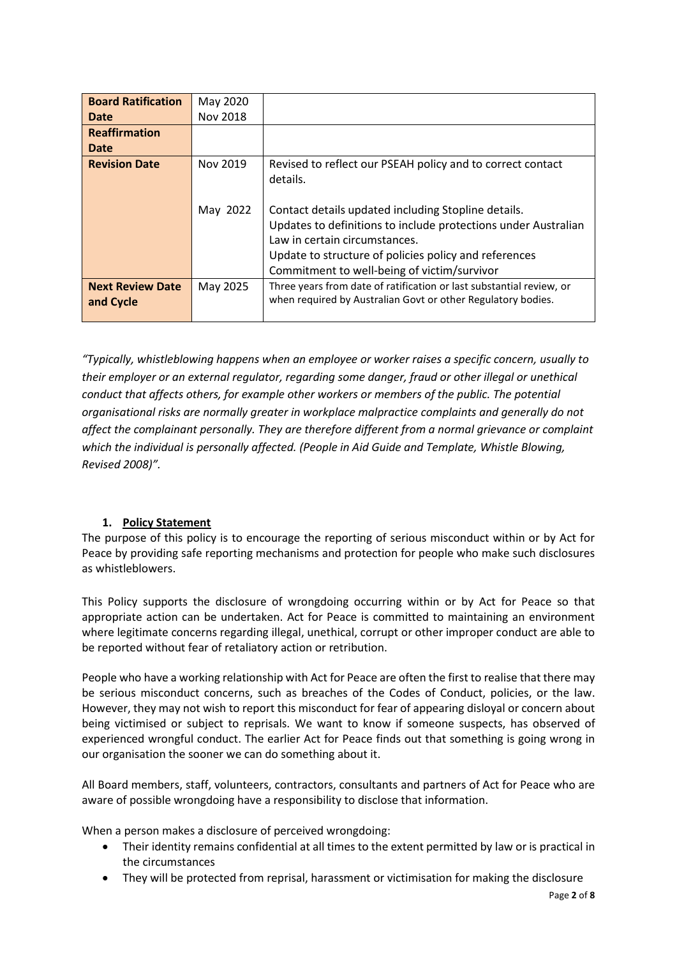| <b>Board Ratification</b>            | May 2020 |                                                                                                                                                                                                                                                                |
|--------------------------------------|----------|----------------------------------------------------------------------------------------------------------------------------------------------------------------------------------------------------------------------------------------------------------------|
| Date                                 | Nov 2018 |                                                                                                                                                                                                                                                                |
| <b>Reaffirmation</b>                 |          |                                                                                                                                                                                                                                                                |
| Date                                 |          |                                                                                                                                                                                                                                                                |
| <b>Revision Date</b>                 | Nov 2019 | Revised to reflect our PSEAH policy and to correct contact<br>details.                                                                                                                                                                                         |
|                                      | May 2022 | Contact details updated including Stopline details.<br>Updates to definitions to include protections under Australian<br>Law in certain circumstances.<br>Update to structure of policies policy and references<br>Commitment to well-being of victim/survivor |
| <b>Next Review Date</b><br>and Cycle | May 2025 | Three years from date of ratification or last substantial review, or<br>when required by Australian Govt or other Regulatory bodies.                                                                                                                           |

*"Typically, whistleblowing happens when an employee or worker raises a specific concern, usually to their employer or an external regulator, regarding some danger, fraud or other illegal or unethical conduct that affects others, for example other workers or members of the public. The potential organisational risks are normally greater in workplace malpractice complaints and generally do not affect the complainant personally. They are therefore different from a normal grievance or complaint which the individual is personally affected. (People in Aid Guide and Template, Whistle Blowing, Revised 2008)".*

## **1. Policy Statement**

The purpose of this policy is to encourage the reporting of serious misconduct within or by Act for Peace by providing safe reporting mechanisms and protection for people who make such disclosures as whistleblowers.

This Policy supports the disclosure of wrongdoing occurring within or by Act for Peace so that appropriate action can be undertaken. Act for Peace is committed to maintaining an environment where legitimate concerns regarding illegal, unethical, corrupt or other improper conduct are able to be reported without fear of retaliatory action or retribution.

People who have a working relationship with Act for Peace are often the first to realise that there may be serious misconduct concerns, such as breaches of the Codes of Conduct, policies, or the law. However, they may not wish to report this misconduct for fear of appearing disloyal or concern about being victimised or subject to reprisals. We want to know if someone suspects, has observed of experienced wrongful conduct. The earlier Act for Peace finds out that something is going wrong in our organisation the sooner we can do something about it.

All Board members, staff, volunteers, contractors, consultants and partners of Act for Peace who are aware of possible wrongdoing have a responsibility to disclose that information.

When a person makes a disclosure of perceived wrongdoing:

- Their identity remains confidential at all times to the extent permitted by law or is practical in the circumstances
- They will be protected from reprisal, harassment or victimisation for making the disclosure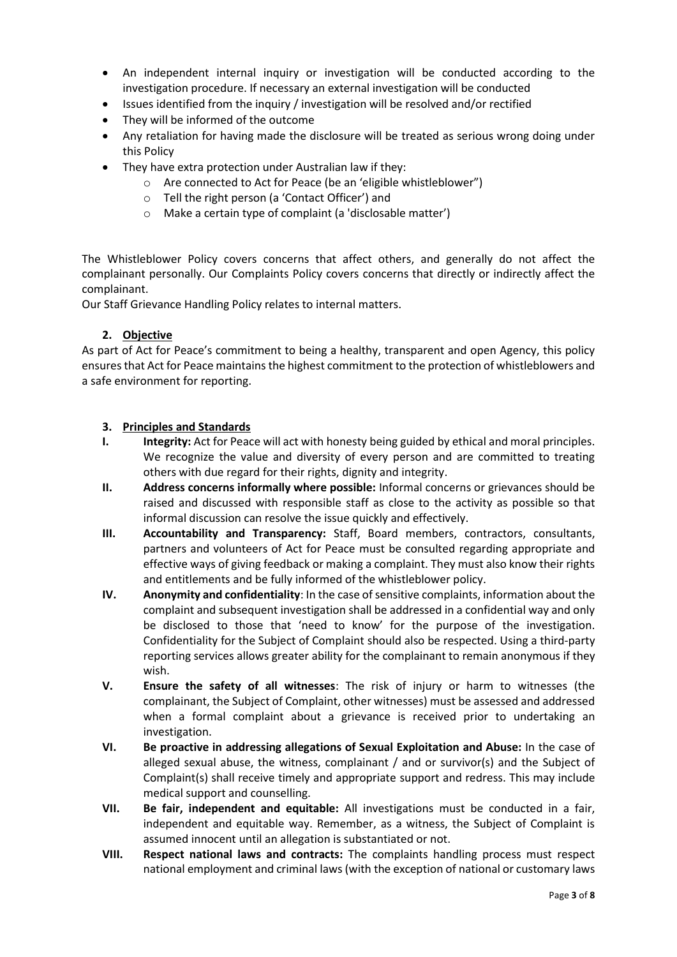- An independent internal inquiry or investigation will be conducted according to the investigation procedure. If necessary an external investigation will be conducted
- Issues identified from the inquiry / investigation will be resolved and/or rectified
- They will be informed of the outcome
- Any retaliation for having made the disclosure will be treated as serious wrong doing under this Policy
- They have extra protection under Australian law if they:
	- o Are connected to Act for Peace (be an 'eligible whistleblower")
	- o Tell the right person (a 'Contact Officer') and
	- o Make a certain type of complaint (a 'disclosable matter')

The Whistleblower Policy covers concerns that affect others, and generally do not affect the complainant personally. Our Complaints Policy covers concerns that directly or indirectly affect the complainant.

Our Staff Grievance Handling Policy relates to internal matters.

## **2. Objective**

As part of Act for Peace's commitment to being a healthy, transparent and open Agency, this policy ensures that Act for Peace maintains the highest commitment to the protection of whistleblowers and a safe environment for reporting.

## **3. Principles and Standards**

- **I. Integrity:** Act for Peace will act with honesty being guided by ethical and moral principles. We recognize the value and diversity of every person and are committed to treating others with due regard for their rights, dignity and integrity.
- **II. Address concerns informally where possible:** Informal concerns or grievances should be raised and discussed with responsible staff as close to the activity as possible so that informal discussion can resolve the issue quickly and effectively.
- **III. Accountability and Transparency:** Staff, Board members, contractors, consultants, partners and volunteers of Act for Peace must be consulted regarding appropriate and effective ways of giving feedback or making a complaint. They must also know their rights and entitlements and be fully informed of the whistleblower policy.
- **IV. Anonymity and confidentiality**: In the case of sensitive complaints, information about the complaint and subsequent investigation shall be addressed in a confidential way and only be disclosed to those that 'need to know' for the purpose of the investigation. Confidentiality for the Subject of Complaint should also be respected. Using a third-party reporting services allows greater ability for the complainant to remain anonymous if they wish.
- **V. Ensure the safety of all witnesses**: The risk of injury or harm to witnesses (the complainant, the Subject of Complaint, other witnesses) must be assessed and addressed when a formal complaint about a grievance is received prior to undertaking an investigation.
- **VI. Be proactive in addressing allegations of Sexual Exploitation and Abuse:** In the case of alleged sexual abuse, the witness, complainant / and or survivor(s) and the Subject of Complaint(s) shall receive timely and appropriate support and redress. This may include medical support and counselling.
- **VII. Be fair, independent and equitable:** All investigations must be conducted in a fair, independent and equitable way. Remember, as a witness, the Subject of Complaint is assumed innocent until an allegation is substantiated or not.
- **VIII. Respect national laws and contracts:** The complaints handling process must respect national employment and criminal laws (with the exception of national or customary laws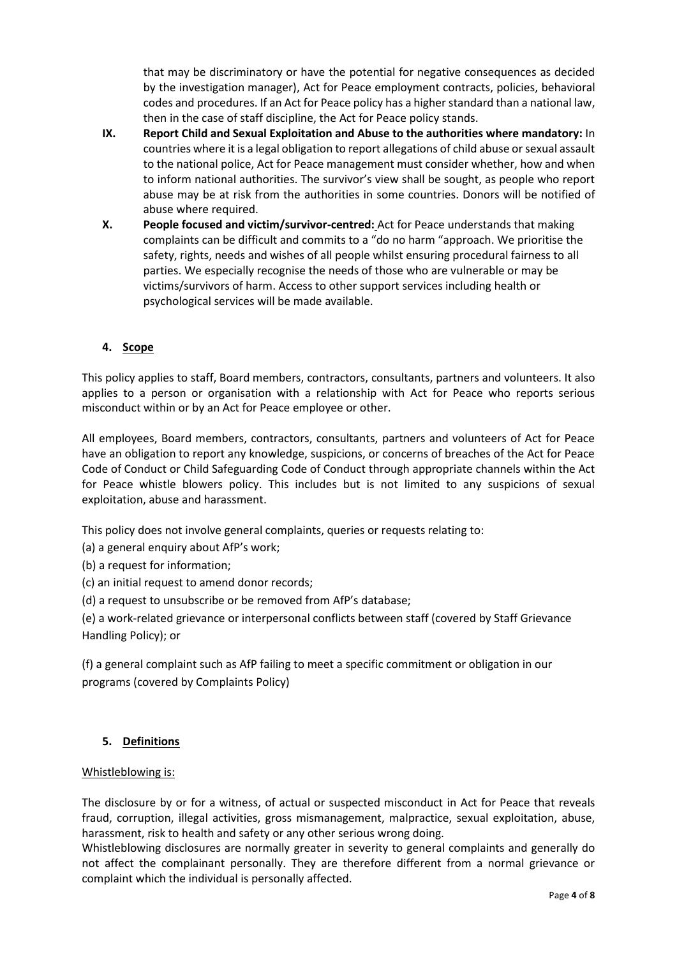that may be discriminatory or have the potential for negative consequences as decided by the investigation manager), Act for Peace employment contracts, policies, behavioral codes and procedures. If an Act for Peace policy has a higher standard than a national law, then in the case of staff discipline, the Act for Peace policy stands.

- **IX. Report Child and Sexual Exploitation and Abuse to the authorities where mandatory:** In countries where it is a legal obligation to report allegations of child abuse or sexual assault to the national police, Act for Peace management must consider whether, how and when to inform national authorities. The survivor's view shall be sought, as people who report abuse may be at risk from the authorities in some countries. Donors will be notified of abuse where required.
- **X. People focused and victim/survivor-centred:** Act for Peace understands that making complaints can be difficult and commits to a "do no harm "approach. We prioritise the safety, rights, needs and wishes of all people whilst ensuring procedural fairness to all parties. We especially recognise the needs of those who are vulnerable or may be victims/survivors of harm. Access to other support services including health or psychological services will be made available.

# **4. Scope**

This policy applies to staff, Board members, contractors, consultants, partners and volunteers. It also applies to a person or organisation with a relationship with Act for Peace who reports serious misconduct within or by an Act for Peace employee or other.

All employees, Board members, contractors, consultants, partners and volunteers of Act for Peace have an obligation to report any knowledge, suspicions, or concerns of breaches of the Act for Peace Code of Conduct or Child Safeguarding Code of Conduct through appropriate channels within the Act for Peace whistle blowers policy. This includes but is not limited to any suspicions of sexual exploitation, abuse and harassment.

This policy does not involve general complaints, queries or requests relating to:

(a) a general enquiry about AfP's work;

(b) a request for information;

(c) an initial request to amend donor records;

(d) a request to unsubscribe or be removed from AfP's database;

(e) a work-related grievance or interpersonal conflicts between staff (covered by Staff Grievance Handling Policy); or

(f) a general complaint such as AfP failing to meet a specific commitment or obligation in our programs (covered by Complaints Policy)

#### **5. Definitions**

#### Whistleblowing is:

The disclosure by or for a witness, of actual or suspected misconduct in Act for Peace that reveals fraud, corruption, illegal activities, gross mismanagement, malpractice, sexual exploitation, abuse, harassment, risk to health and safety or any other serious wrong doing.

Whistleblowing disclosures are normally greater in severity to general complaints and generally do not affect the complainant personally. They are therefore different from a normal grievance or complaint which the individual is personally affected.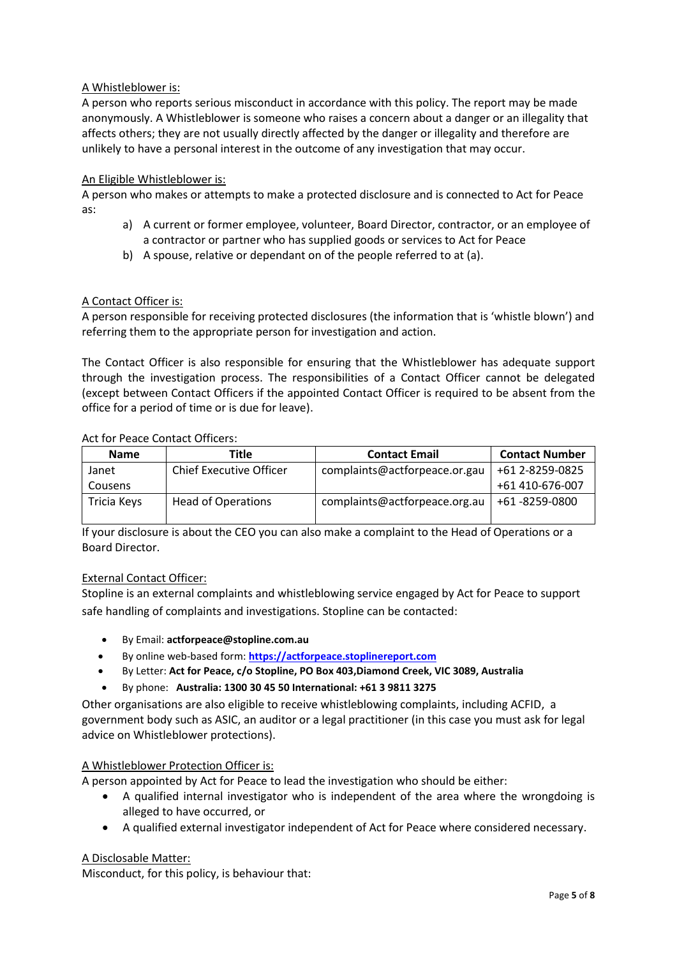## A Whistleblower is:

A person who reports serious misconduct in accordance with this policy. The report may be made anonymously. A Whistleblower is someone who raises a concern about a danger or an illegality that affects others; they are not usually directly affected by the danger or illegality and therefore are unlikely to have a personal interest in the outcome of any investigation that may occur.

#### An Eligible Whistleblower is:

A person who makes or attempts to make a protected disclosure and is connected to Act for Peace as:

- a) A current or former employee, volunteer, Board Director, contractor, or an employee of a contractor or partner who has supplied goods or services to Act for Peace
- b) A spouse, relative or dependant on of the people referred to at (a).

#### A Contact Officer is:

A person responsible for receiving protected disclosures (the information that is 'whistle blown') and referring them to the appropriate person for investigation and action.

The Contact Officer is also responsible for ensuring that the Whistleblower has adequate support through the investigation process. The responsibilities of a Contact Officer cannot be delegated (except between Contact Officers if the appointed Contact Officer is required to be absent from the office for a period of time or is due for leave).

#### Act for Peace Contact Officers:

| <b>Name</b> | Title                          | <b>Contact Email</b>          | <b>Contact Number</b> |
|-------------|--------------------------------|-------------------------------|-----------------------|
| Janet       | <b>Chief Executive Officer</b> | complaints@actforpeace.or.gau | +61 2-8259-0825       |
| Cousens     |                                |                               | +61 410-676-007       |
| Tricia Keys | <b>Head of Operations</b>      | complaints@actforpeace.org.au | +61 -8259-0800        |

If your disclosure is about the CEO you can also make a complaint to the Head of Operations or a Board Director.

#### External Contact Officer:

Stopline is an external complaints and whistleblowing service engaged by Act for Peace to support safe handling of complaints and investigations. Stopline can be contacted:

- By Email: **actforpeace@stopline.com.au**
- By online web-based form: **[https://actforpeace.stoplinereport.com](https://actforpeace.stoplinereport.com/)**
- By Letter: **Act for Peace, c/o Stopline, PO Box 403,Diamond Creek, VIC 3089, Australia**
- By phone: **Australia: 1300 30 45 50 International: +61 3 9811 3275**

Other organisations are also eligible to receive whistleblowing complaints, including ACFID, a government body such as ASIC, an auditor or a legal practitioner (in this case you must ask for legal advice on Whistleblower protections).

#### A Whistleblower Protection Officer is:

A person appointed by Act for Peace to lead the investigation who should be either:

- A qualified internal investigator who is independent of the area where the wrongdoing is alleged to have occurred, or
- A qualified external investigator independent of Act for Peace where considered necessary.

#### A Disclosable Matter:

Misconduct, for this policy, is behaviour that: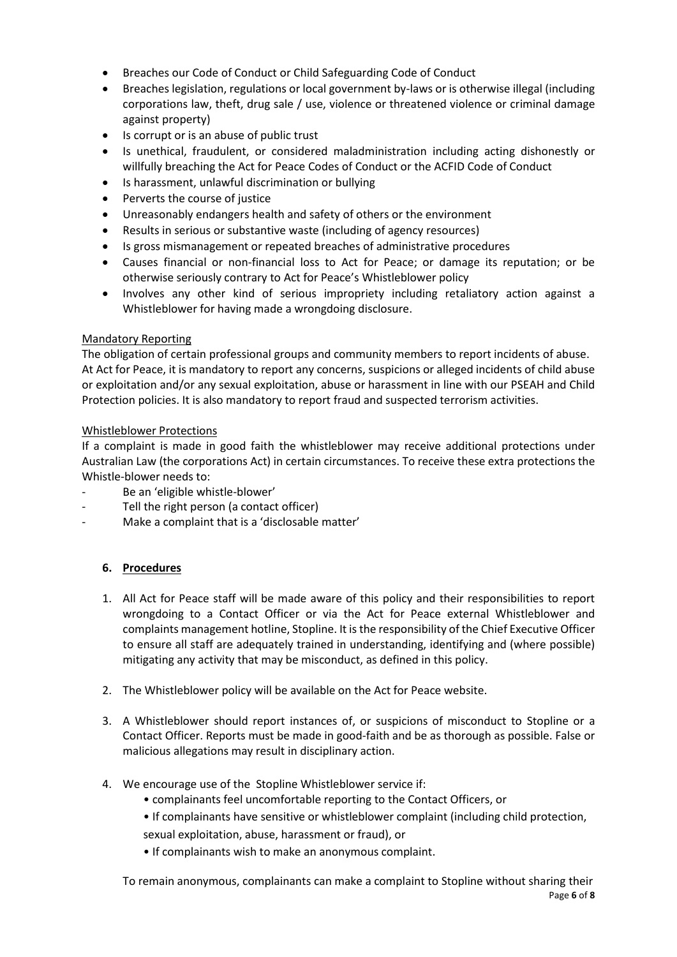- Breaches our Code of Conduct or Child Safeguarding Code of Conduct
- Breaches legislation, regulations or local government by-laws or is otherwise illegal (including corporations law, theft, drug sale / use, violence or threatened violence or criminal damage against property)
- Is corrupt or is an abuse of public trust
- Is unethical, fraudulent, or considered maladministration including acting dishonestly or willfully breaching the Act for Peace Codes of Conduct or the ACFID Code of Conduct
- Is harassment, unlawful discrimination or bullying
- Perverts the course of justice
- Unreasonably endangers health and safety of others or the environment
- Results in serious or substantive waste (including of agency resources)
- Is gross mismanagement or repeated breaches of administrative procedures
- Causes financial or non-financial loss to Act for Peace; or damage its reputation; or be otherwise seriously contrary to Act for Peace's Whistleblower policy
- Involves any other kind of serious impropriety including retaliatory action against a Whistleblower for having made a wrongdoing disclosure.

## Mandatory Reporting

The obligation of certain professional groups and community members to report incidents of abuse. At Act for Peace, it is mandatory to report any concerns, suspicions or alleged incidents of child abuse or exploitation and/or any sexual exploitation, abuse or harassment in line with our PSEAH and Child Protection policies. It is also mandatory to report fraud and suspected terrorism activities.

## Whistleblower Protections

If a complaint is made in good faith the whistleblower may receive additional protections under Australian Law (the corporations Act) in certain circumstances. To receive these extra protections the Whistle-blower needs to:

- Be an 'eligible whistle-blower'
- Tell the right person (a contact officer)
- Make a complaint that is a 'disclosable matter'

## **6. Procedures**

- 1. All Act for Peace staff will be made aware of this policy and their responsibilities to report wrongdoing to a Contact Officer or via the Act for Peace external Whistleblower and complaints management hotline, Stopline. It is the responsibility of the Chief Executive Officer to ensure all staff are adequately trained in understanding, identifying and (where possible) mitigating any activity that may be misconduct, as defined in this policy.
- 2. The Whistleblower policy will be available on the Act for Peace website.
- 3. A Whistleblower should report instances of, or suspicions of misconduct to Stopline or a Contact Officer. Reports must be made in good-faith and be as thorough as possible. False or malicious allegations may result in disciplinary action.
- 4. We encourage use of the Stopline Whistleblower service if:
	- complainants feel uncomfortable reporting to the Contact Officers, or
	- If complainants have sensitive or whistleblower complaint (including child protection,
	- sexual exploitation, abuse, harassment or fraud), or
	- If complainants wish to make an anonymous complaint.

Page **6** of **8** To remain anonymous, complainants can make a complaint to Stopline without sharing their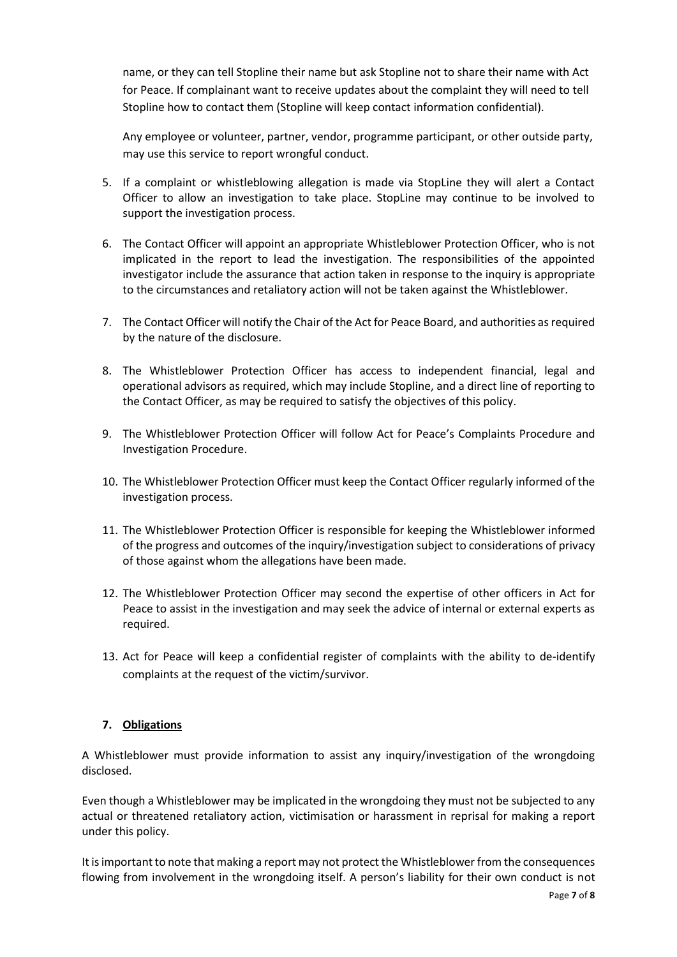name, or they can tell Stopline their name but ask Stopline not to share their name with Act for Peace. If complainant want to receive updates about the complaint they will need to tell Stopline how to contact them (Stopline will keep contact information confidential).

Any employee or volunteer, partner, vendor, programme participant, or other outside party, may use this service to report wrongful conduct.

- 5. If a complaint or whistleblowing allegation is made via StopLine they will alert a Contact Officer to allow an investigation to take place. StopLine may continue to be involved to support the investigation process.
- 6. The Contact Officer will appoint an appropriate Whistleblower Protection Officer, who is not implicated in the report to lead the investigation. The responsibilities of the appointed investigator include the assurance that action taken in response to the inquiry is appropriate to the circumstances and retaliatory action will not be taken against the Whistleblower.
- 7. The Contact Officer will notify the Chair of the Act for Peace Board, and authorities as required by the nature of the disclosure.
- 8. The Whistleblower Protection Officer has access to independent financial, legal and operational advisors as required, which may include Stopline, and a direct line of reporting to the Contact Officer, as may be required to satisfy the objectives of this policy.
- 9. The Whistleblower Protection Officer will follow Act for Peace's Complaints Procedure and Investigation Procedure.
- 10. The Whistleblower Protection Officer must keep the Contact Officer regularly informed of the investigation process.
- 11. The Whistleblower Protection Officer is responsible for keeping the Whistleblower informed of the progress and outcomes of the inquiry/investigation subject to considerations of privacy of those against whom the allegations have been made.
- 12. The Whistleblower Protection Officer may second the expertise of other officers in Act for Peace to assist in the investigation and may seek the advice of internal or external experts as required.
- 13. Act for Peace will keep a confidential register of complaints with the ability to de-identify complaints at the request of the victim/survivor.

## **7. Obligations**

A Whistleblower must provide information to assist any inquiry/investigation of the wrongdoing disclosed.

Even though a Whistleblower may be implicated in the wrongdoing they must not be subjected to any actual or threatened retaliatory action, victimisation or harassment in reprisal for making a report under this policy.

It is important to note that making a report may not protect the Whistleblower from the consequences flowing from involvement in the wrongdoing itself. A person's liability for their own conduct is not